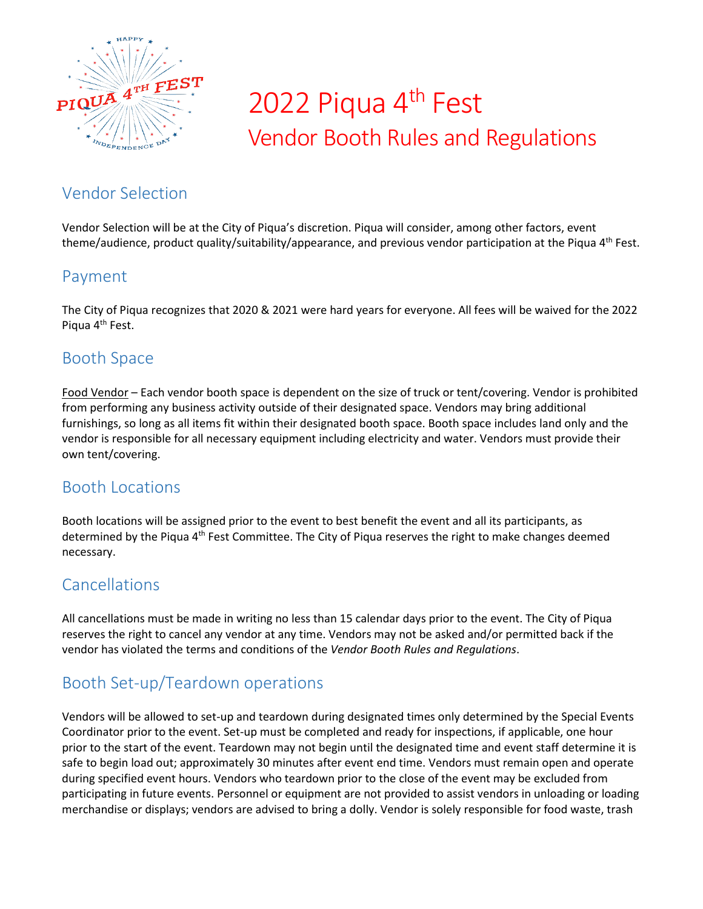

# 2022 Piqua 4<sup>th</sup> Fest Vendor Booth Rules and Regulations

# Vendor Selection

Vendor Selection will be at the City of Piqua's discretion. Piqua will consider, among other factors, event theme/audience, product quality/suitability/appearance, and previous vendor participation at the Piqua 4<sup>th</sup> Fest.

# Payment

The City of Piqua recognizes that 2020 & 2021 were hard years for everyone. All fees will be waived for the 2022 Piqua 4<sup>th</sup> Fest.

# Booth Space

Food Vendor – Each vendor booth space is dependent on the size of truck or tent/covering. Vendor is prohibited from performing any business activity outside of their designated space. Vendors may bring additional furnishings, so long as all items fit within their designated booth space. Booth space includes land only and the vendor is responsible for all necessary equipment including electricity and water. Vendors must provide their own tent/covering.

### Booth Locations

Booth locations will be assigned prior to the event to best benefit the event and all its participants, as determined by the Piqua 4<sup>th</sup> Fest Committee. The City of Piqua reserves the right to make changes deemed necessary.

# Cancellations

All cancellations must be made in writing no less than 15 calendar days prior to the event. The City of Piqua reserves the right to cancel any vendor at any time. Vendors may not be asked and/or permitted back if the vendor has violated the terms and conditions of the *Vendor Booth Rules and Regulations*.

# Booth Set-up/Teardown operations

Vendors will be allowed to set-up and teardown during designated times only determined by the Special Events Coordinator prior to the event. Set-up must be completed and ready for inspections, if applicable, one hour prior to the start of the event. Teardown may not begin until the designated time and event staff determine it is safe to begin load out; approximately 30 minutes after event end time. Vendors must remain open and operate during specified event hours. Vendors who teardown prior to the close of the event may be excluded from participating in future events. Personnel or equipment are not provided to assist vendors in unloading or loading merchandise or displays; vendors are advised to bring a dolly. Vendor is solely responsible for food waste, trash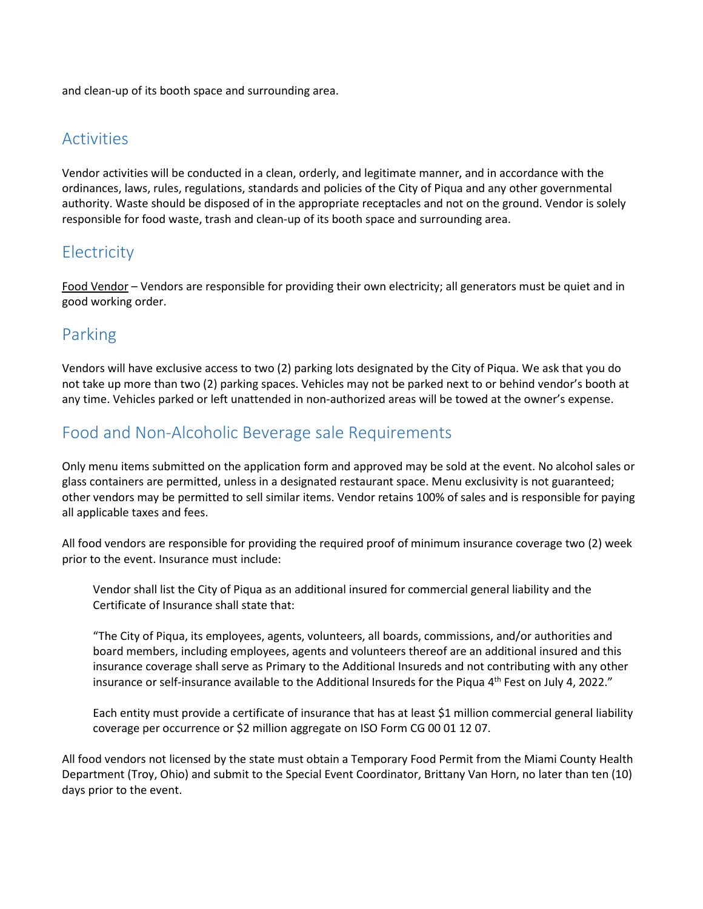and clean-up of its booth space and surrounding area.

#### Activities

Vendor activities will be conducted in a clean, orderly, and legitimate manner, and in accordance with the ordinances, laws, rules, regulations, standards and policies of the City of Piqua and any other governmental authority. Waste should be disposed of in the appropriate receptacles and not on the ground. Vendor is solely responsible for food waste, trash and clean-up of its booth space and surrounding area.

### **Electricity**

Food Vendor – Vendors are responsible for providing their own electricity; all generators must be quiet and in good working order.

### Parking

Vendors will have exclusive access to two (2) parking lots designated by the City of Piqua. We ask that you do not take up more than two (2) parking spaces. Vehicles may not be parked next to or behind vendor's booth at any time. Vehicles parked or left unattended in non-authorized areas will be towed at the owner's expense.

# Food and Non-Alcoholic Beverage sale Requirements

Only menu items submitted on the application form and approved may be sold at the event. No alcohol sales or glass containers are permitted, unless in a designated restaurant space. Menu exclusivity is not guaranteed; other vendors may be permitted to sell similar items. Vendor retains 100% of sales and is responsible for paying all applicable taxes and fees.

All food vendors are responsible for providing the required proof of minimum insurance coverage two (2) week prior to the event. Insurance must include:

Vendor shall list the City of Piqua as an additional insured for commercial general liability and the Certificate of Insurance shall state that:

"The City of Piqua, its employees, agents, volunteers, all boards, commissions, and/or authorities and board members, including employees, agents and volunteers thereof are an additional insured and this insurance coverage shall serve as Primary to the Additional Insureds and not contributing with any other insurance or self-insurance available to the Additional Insureds for the Piqua 4<sup>th</sup> Fest on July 4, 2022."

Each entity must provide a certificate of insurance that has at least \$1 million commercial general liability coverage per occurrence or \$2 million aggregate on ISO Form CG 00 01 12 07.

All food vendors not licensed by the state must obtain a Temporary Food Permit from the Miami County Health Department (Troy, Ohio) and submit to the Special Event Coordinator, Brittany Van Horn, no later than ten (10) days prior to the event.